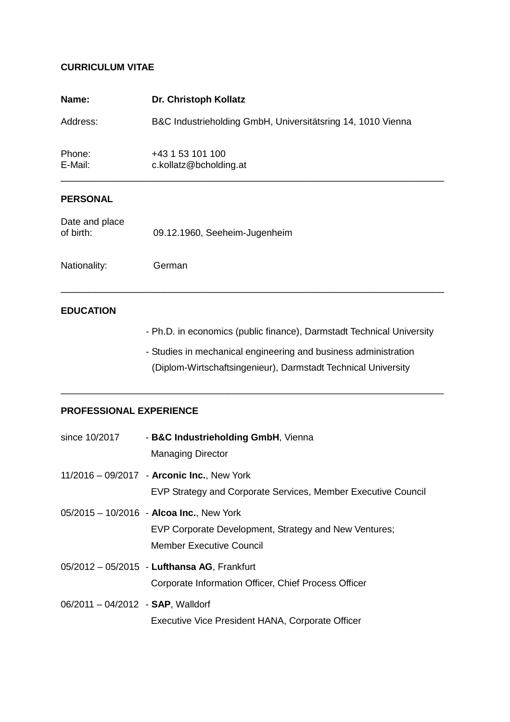## **CURRICULUM VITAE**

| Name:             | Dr. Christoph Kollatz                                       |
|-------------------|-------------------------------------------------------------|
| Address:          | B&C Industrieholding GmbH, Universitätsring 14, 1010 Vienna |
| Phone:<br>E-Mail: | +43 1 53 101 100<br>c.kollatz@bcholding.at                  |
| <b>PERSONAL</b>   |                                                             |

\_\_\_\_\_\_\_\_\_\_\_\_\_\_\_\_\_\_\_\_\_\_\_\_\_\_\_\_\_\_\_\_\_\_\_\_\_\_\_\_\_\_\_\_\_\_\_\_\_\_\_\_\_\_\_\_\_\_\_\_\_\_\_\_\_\_\_

\_\_\_\_\_\_\_\_\_\_\_\_\_\_\_\_\_\_\_\_\_\_\_\_\_\_\_\_\_\_\_\_\_\_\_\_\_\_\_\_\_\_\_\_\_\_\_\_\_\_\_\_\_\_\_\_\_\_\_\_\_\_\_\_\_\_\_\_\_\_\_\_\_

| Date and place |                               |
|----------------|-------------------------------|
| of birth:      | 09.12.1960, Seeheim-Jugenheim |
|                |                               |

Nationality: German

## **EDUCATION**

- Ph.D. in economics (public finance), Darmstadt Technical University
- Studies in mechanical engineering and business administration (Diplom-Wirtschaftsingenieur), Darmstadt Technical University

#### **PROFESSIONAL EXPERIENCE**

| since 10/2017                     | - B&C Industrieholding GmbH, Vienna<br><b>Managing Director</b>                                                                 |
|-----------------------------------|---------------------------------------------------------------------------------------------------------------------------------|
|                                   | 11/2016 - 09/2017 - Arconic Inc., New York<br>EVP Strategy and Corporate Services, Member Executive Council                     |
|                                   | $05/2015 - 10/2016$ - Alcoa Inc., New York<br>EVP Corporate Development, Strategy and New Ventures;<br>Member Executive Council |
|                                   | 05/2012 - 05/2015 - Lufthansa AG, Frankfurt<br>Corporate Information Officer, Chief Process Officer                             |
| 06/2011 - 04/2012 - SAP, Walldorf | Executive Vice President HANA, Corporate Officer                                                                                |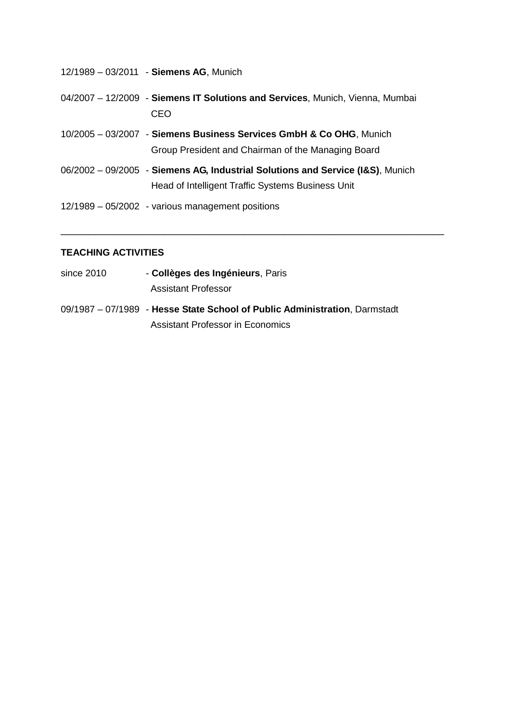| 12/1989 - 03/2011 - Siemens AG, Munich                                               |
|--------------------------------------------------------------------------------------|
| 04/2007 - 12/2009 - Siemens IT Solutions and Services, Munich, Vienna, Mumbai<br>CEO |
| 10/2005 - 03/2007 - Siemens Business Services GmbH & Co OHG, Munich                  |
| Group President and Chairman of the Managing Board                                   |
| 06/2002 - 09/2005 - Siemens AG, Industrial Solutions and Service (I&S), Munich       |
| Head of Intelligent Traffic Systems Business Unit                                    |
| 12/1989 – 05/2002 - various management positions                                     |

\_\_\_\_\_\_\_\_\_\_\_\_\_\_\_\_\_\_\_\_\_\_\_\_\_\_\_\_\_\_\_\_\_\_\_\_\_\_\_\_\_\_\_\_\_\_\_\_\_\_\_\_\_\_\_\_\_\_\_\_\_\_\_\_\_\_\_

# **TEACHING ACTIVITIES**

- since 2010 **Collèges des Ingénieurs**, Paris Assistant Professor
- 09/1987 07/1989 **Hesse State School of Public Administration**, Darmstadt Assistant Professor in Economics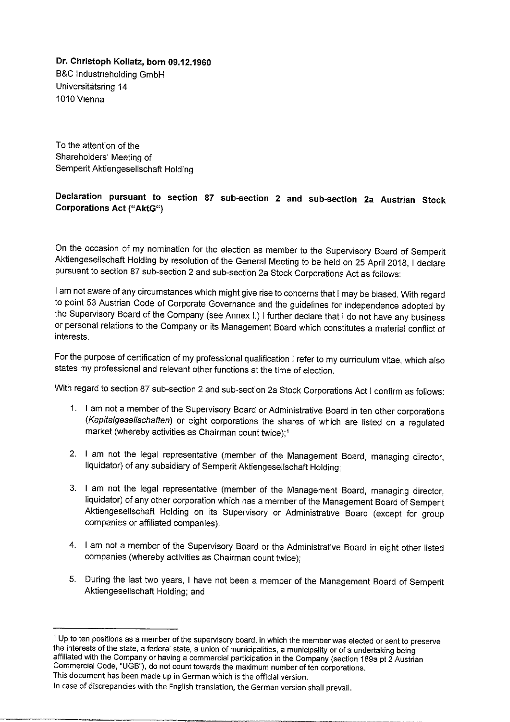Dr. Christoph Kollatz, born 09.12.1960 B&C Industrieholding GmbH Universitätsring 14 1010 Vienna

To the attention of the Shareholders' Meeting of Semperit Aktiengesellschaft Holding

# Declaration pursuant to section 87 sub-section 2 and sub-section 2a Austrian Stock **Corporations Act ("AktG")**

On the occasion of my nomination for the election as member to the Supervisory Board of Semperit Aktiengesellschaft Holding by resolution of the General Meeting to be held on 25 April 2018, I declare pursuant to section 87 sub-section 2 and sub-section 2a Stock Corporations Act as follows:

I am not aware of any circumstances which might give rise to concerns that I may be biased. With regard to point 53 Austrian Code of Corporate Governance and the guidelines for independence adopted by the Supervisory Board of the Company (see Annex I.) I further declare that I do not have any business or personal relations to the Company or its Management Board which constitutes a material conflict of interests.

For the purpose of certification of my professional qualification I refer to my curriculum vitae, which also states my professional and relevant other functions at the time of election.

With regard to section 87 sub-section 2 and sub-section 2a Stock Corporations Act I confirm as follows:

- 1. I am not a member of the Supervisory Board or Administrative Board in ten other corporations (Kapitalgesellschaften) or eight corporations the shares of which are listed on a regulated market (whereby activities as Chairman count twice):<sup>1</sup>
- 2. I am not the legal representative (member of the Management Board, managing director, liquidator) of any subsidiary of Semperit Aktiengesellschaft Holding;
- 3. I am not the legal representative (member of the Management Board, managing director, liquidator) of any other corporation which has a member of the Management Board of Semperit Aktiengesellschaft Holding on its Supervisory or Administrative Board (except for group companies or affiliated companies):
- 4. I am not a member of the Supervisory Board or the Administrative Board in eight other listed companies (whereby activities as Chairman count twice);
- 5. During the last two years, I have not been a member of the Management Board of Semperit Aktiengesellschaft Holding; and

<sup>&</sup>lt;sup>1</sup> Up to ten positions as a member of the supervisory board, in which the member was elected or sent to preserve the interests of the state, a federal state, a union of municipalities, a municipality or of a undertaking being affiliated with the Company or having a commercial participation in the Company (section 189a pt 2 Austrian Commercial Code, "UGB"), do not count towards the maximum number of ten corporations. This document has been made up in German which is the official version.

In case of discrepancies with the English translation, the German version shall prevail.